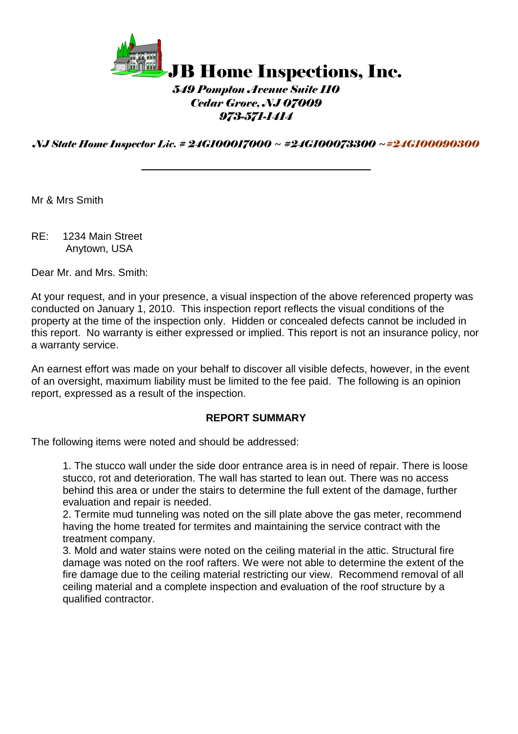

### *549 Pompton Avenue Suite 110 Cedar Grove, NJ 07009 973-571-1414*

*NJ State Home Inspector Lic. # 24GI00017000 ~ #24GI00073300 ~#24GI00090300*

Mr & Mrs Smith

RE: 1234 Main Street Anytown, USA

Dear Mr. and Mrs. Smith:

At your request, and in your presence, a visual inspection of the above referenced property was conducted on January 1, 2010. This inspection report reflects the visual conditions of the property at the time of the inspection only. Hidden or concealed defects cannot be included in this report. No warranty is either expressed or implied. This report is not an insurance policy, nor a warranty service.

An earnest effort was made on your behalf to discover all visible defects, however, in the event of an oversight, maximum liability must be limited to the fee paid. The following is an opinion report, expressed as a result of the inspection.

#### **REPORT SUMMARY**

The following items were noted and should be addressed:

1. The stucco wall under the side door entrance area is in need of repair. There is loose stucco, rot and deterioration. The wall has started to lean out. There was no access behind this area or under the stairs to determine the full extent of the damage, further evaluation and repair is needed.

2. Termite mud tunneling was noted on the sill plate above the gas meter, recommend having the home treated for termites and maintaining the service contract with the treatment company.

3. Mold and water stains were noted on the ceiling material in the attic. Structural fire damage was noted on the roof rafters. We were not able to determine the extent of the fire damage due to the ceiling material restricting our view. Recommend removal of all ceiling material and a complete inspection and evaluation of the roof structure by a qualified contractor.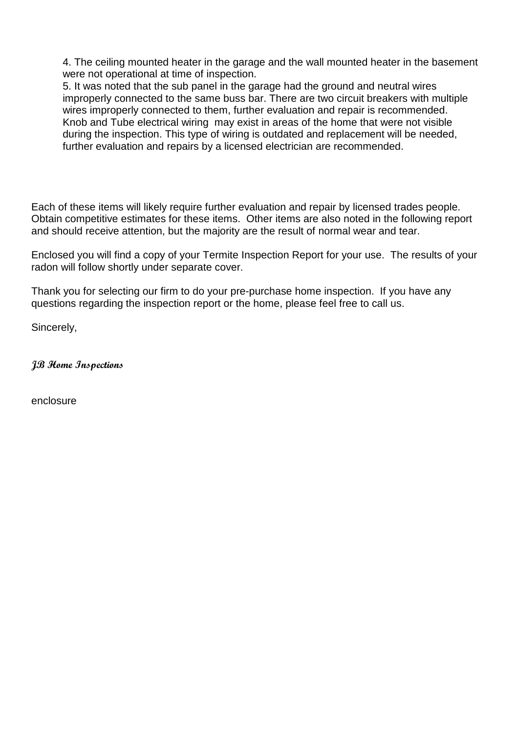4. The ceiling mounted heater in the garage and the wall mounted heater in the basement were not operational at time of inspection.

5. It was noted that the sub panel in the garage had the ground and neutral wires improperly connected to the same buss bar. There are two circuit breakers with multiple wires improperly connected to them, further evaluation and repair is recommended. Knob and Tube electrical wiring may exist in areas of the home that were not visible during the inspection. This type of wiring is outdated and replacement will be needed, further evaluation and repairs by a licensed electrician are recommended.

Each of these items will likely require further evaluation and repair by licensed trades people. Obtain competitive estimates for these items. Other items are also noted in the following report and should receive attention, but the majority are the result of normal wear and tear.

Enclosed you will find a copy of your Termite Inspection Report for your use. The results of your radon will follow shortly under separate cover.

Thank you for selecting our firm to do your pre-purchase home inspection. If you have any questions regarding the inspection report or the home, please feel free to call us.

Sincerely,

**JB Home Inspections**

enclosure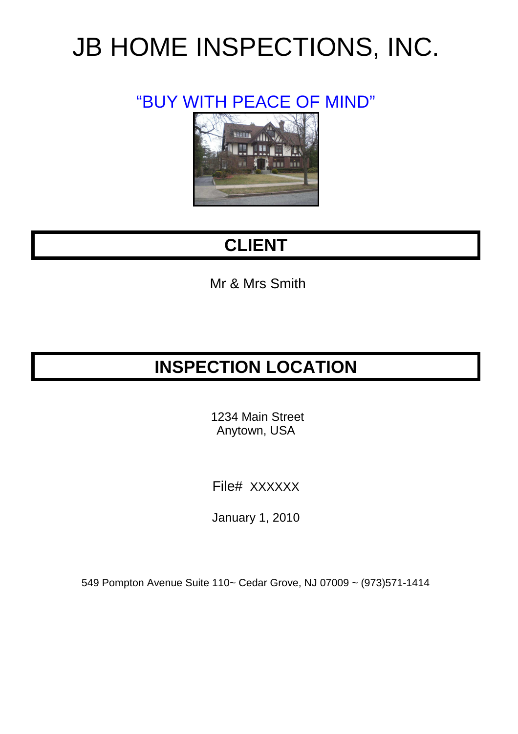# JB HOME INSPECTIONS, INC.

### "BUY WITH PEACE OF MIND"



### **CLIENT**

Mr & Mrs Smith

### **INSPECTION LOCATION**

 1234 Main Street Anytown, USA

File# XXXXXX

January 1, 2010

549 Pompton Avenue Suite 110~ Cedar Grove, NJ 07009 ~ (973)571-1414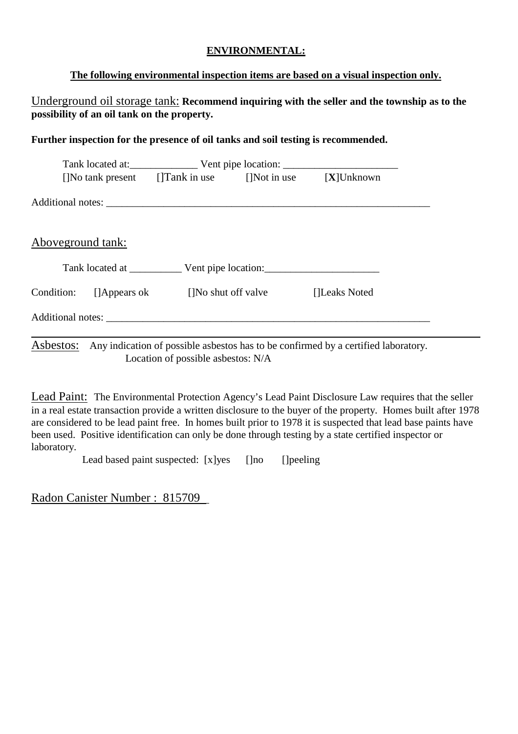#### **ENVIRONMENTAL:**

#### **The following environmental inspection items are based on a visual inspection only.**

Underground oil storage tank: **Recommend inquiring with the seller and the township as to the possibility of an oil tank on the property.** 

#### **Further inspection for the presence of oil tanks and soil testing is recommended.**

|            |                   | []No tank present []Tank in use []Not in use $[X]$ Unknown |                     |               |
|------------|-------------------|------------------------------------------------------------|---------------------|---------------|
|            |                   |                                                            |                     |               |
|            |                   |                                                            |                     |               |
|            | Aboveground tank: |                                                            |                     |               |
|            |                   |                                                            |                     |               |
| Condition: | []Appears ok      |                                                            | []No shut off valve | []Leaks Noted |
|            |                   | Additional notes: Additional notes:                        |                     |               |
|            |                   |                                                            |                     |               |

Asbestos: Any indication of possible asbestos has to be confirmed by a certified laboratory. Location of possible asbestos: N/A

Lead Paint: The Environmental Protection Agency's Lead Paint Disclosure Law requires that the seller in a real estate transaction provide a written disclosure to the buyer of the property. Homes built after 1978 are considered to be lead paint free. In homes built prior to 1978 it is suspected that lead base paints have been used. Positive identification can only be done through testing by a state certified inspector or laboratory.

Lead based paint suspected: [x]yes []no []peeling

Radon Canister Number : 815709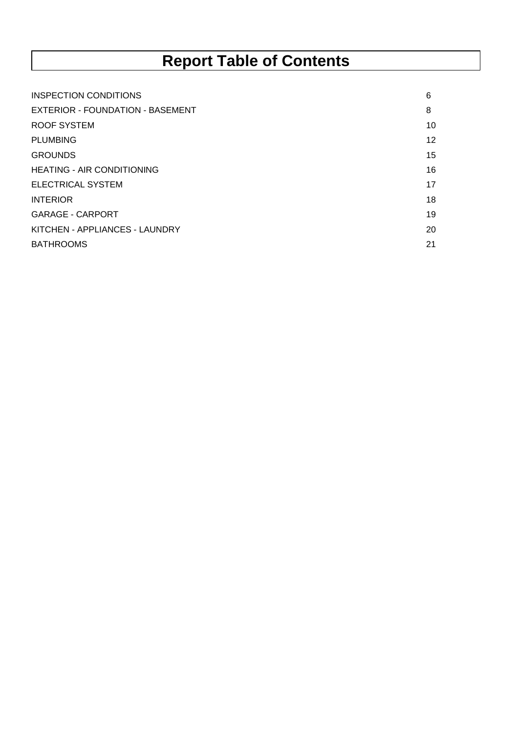## **Report Table of Contents**

| INSPECTION CONDITIONS             | 6  |
|-----------------------------------|----|
| EXTERIOR - FOUNDATION - BASEMENT  | 8  |
| ROOF SYSTEM                       | 10 |
| <b>PLUMBING</b>                   | 12 |
| <b>GROUNDS</b>                    | 15 |
| <b>HEATING - AIR CONDITIONING</b> | 16 |
| <b>ELECTRICAL SYSTEM</b>          | 17 |
| <b>INTERIOR</b>                   | 18 |
| <b>GARAGE - CARPORT</b>           | 19 |
| KITCHEN - APPLIANCES - LAUNDRY    | 20 |
| <b>BATHROOMS</b>                  | 21 |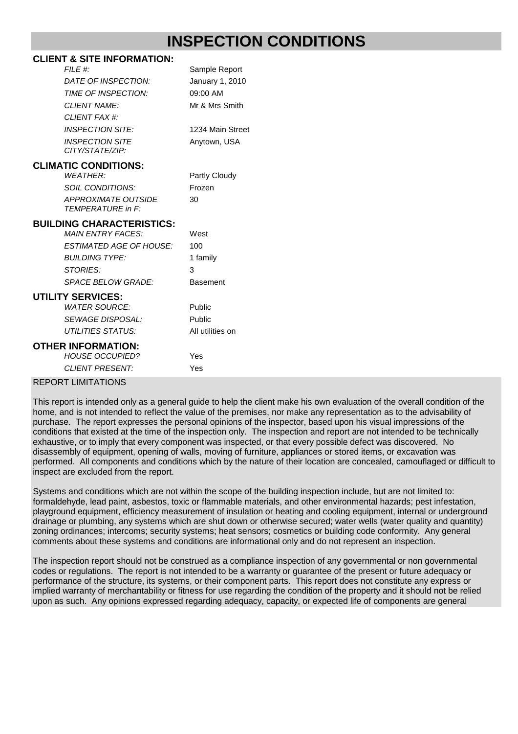#### **CLIENT & SITE INFORMATION:**

| FILE #:                                                | Sample Report    |
|--------------------------------------------------------|------------------|
| DATE OF INSPECTION:                                    | January 1, 2010  |
| TIME OF INSPECTION:                                    | 09:00 AM         |
| <b>CLIENT NAME:</b>                                    | Mr & Mrs Smith   |
| CLIENT FAX #:                                          |                  |
| <b>INSPECTION SITE:</b>                                | 1234 Main Street |
| <b>INSPECTION SITE</b><br>CITY/STATE/ZIP:              | Anytown, USA     |
| <b>CLIMATIC CONDITIONS:</b>                            |                  |
| <b>WFATHFR:</b>                                        | Partly Cloudy    |
| <b>SOIL CONDITIONS:</b>                                | Frozen           |
| <b>APPROXIMATE OUTSIDE</b><br><b>TEMPERATURE in F:</b> | 30               |
| <b>BUILDING CHARACTERISTICS:</b>                       |                  |
| <b>MAIN FNTRY FACES:</b>                               | West             |
| <b>ESTIMATED AGE OF HOUSE:</b>                         | 100              |
| <b>BUILDING TYPE:</b>                                  | 1 family         |
| <b>STORIES:</b>                                        | 3                |
| <b>SPACE BELOW GRADE:</b>                              | Basement         |
| <b>UTILITY SERVICES:</b>                               |                  |
| <b>WATER SOURCE:</b>                                   | Public           |
| <b>SEWAGE DISPOSAL:</b>                                | Public           |
| <b>UTILITIES STATUS:</b>                               | All utilities on |
| OTHER INFORMATION:                                     |                  |
| <b>HOUSE OCCUPIED?</b>                                 | Yes              |
| <b>CLIENT PRESENT:</b>                                 | Yes              |

#### REPORT LIMITATIONS

This report is intended only as a general guide to help the client make his own evaluation of the overall condition of the home, and is not intended to reflect the value of the premises, nor make any representation as to the advisability of purchase. The report expresses the personal opinions of the inspector, based upon his visual impressions of the conditions that existed at the time of the inspection only. The inspection and report are not intended to be technically exhaustive, or to imply that every component was inspected, or that every possible defect was discovered. No disassembly of equipment, opening of walls, moving of furniture, appliances or stored items, or excavation was performed. All components and conditions which by the nature of their location are concealed, camouflaged or difficult to inspect are excluded from the report.

Systems and conditions which are not within the scope of the building inspection include, but are not limited to: formaldehyde, lead paint, asbestos, toxic or flammable materials, and other environmental hazards; pest infestation, playground equipment, efficiency measurement of insulation or heating and cooling equipment, internal or underground drainage or plumbing, any systems which are shut down or otherwise secured; water wells (water quality and quantity) zoning ordinances; intercoms; security systems; heat sensors; cosmetics or building code conformity. Any general comments about these systems and conditions are informational only and do not represent an inspection.

The inspection report should not be construed as a compliance inspection of any governmental or non governmental codes or regulations. The report is not intended to be a warranty or guarantee of the present or future adequacy or performance of the structure, its systems, or their component parts. This report does not constitute any express or implied warranty of merchantability or fitness for use regarding the condition of the property and it should not be relied upon as such. Any opinions expressed regarding adequacy, capacity, or expected life of components are general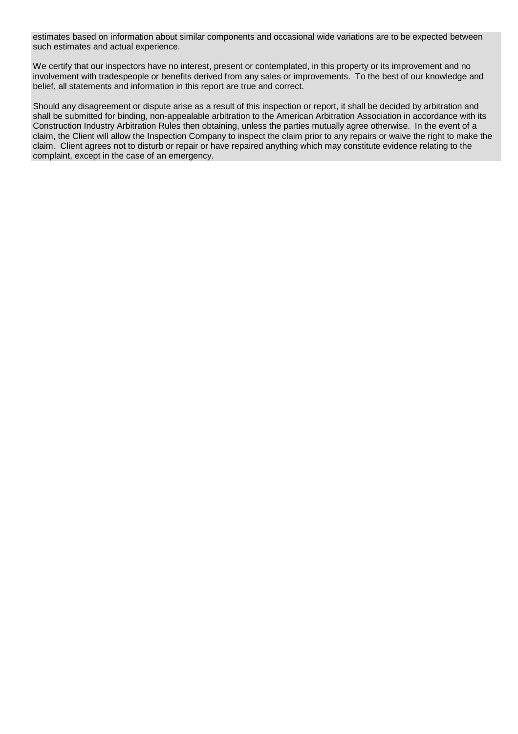estimates based on information about similar components and occasional wide variations are to be expected between such estimates and actual experience.

We certify that our inspectors have no interest, present or contemplated, in this property or its improvement and no involvement with tradespeople or benefits derived from any sales or improvements. To the best of our knowledge and belief, all statements and information in this report are true and correct.

Should any disagreement or dispute arise as a result of this inspection or report, it shall be decided by arbitration and shall be submitted for binding, non-appealable arbitration to the American Arbitration Association in accordance with its Construction Industry Arbitration Rules then obtaining, unless the parties mutually agree otherwise. In the event of a claim, the Client will allow the Inspection Company to inspect the claim prior to any repairs or waive the right to make the claim. Client agrees not to disturb or repair or have repaired anything which may constitute evidence relating to the complaint, except in the case of an emergency.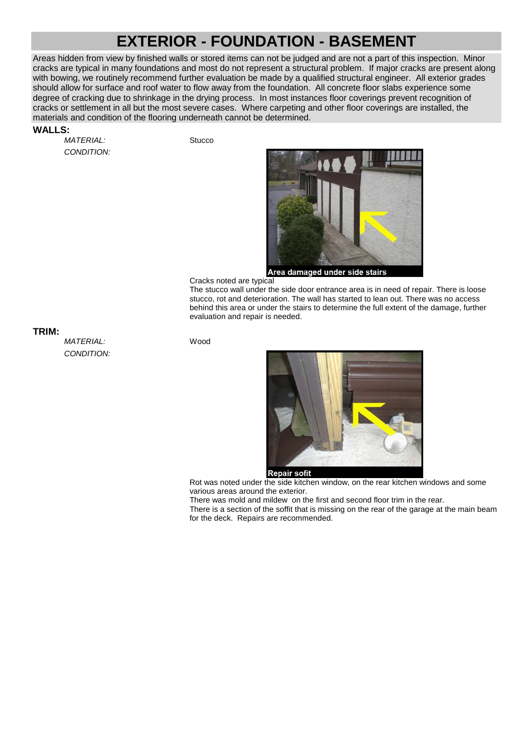### **EXTERIOR - FOUNDATION - BASEMENT**

Areas hidden from view by finished walls or stored items can not be judged and are not a part of this inspection. Minor cracks are typical in many foundations and most do not represent a structural problem. If major cracks are present along with bowing, we routinely recommend further evaluation be made by a qualified structural engineer. All exterior grades should allow for surface and roof water to flow away from the foundation. All concrete floor slabs experience some degree of cracking due to shrinkage in the drying process. In most instances floor coverings prevent recognition of cracks or settlement in all but the most severe cases. Where carpeting and other floor coverings are installed, the materials and condition of the flooring underneath cannot be determined.

#### **WALLS:**

MATERIAL: Stucco CONDITION:



Cracks noted are typical

The stucco wall under the side door entrance area is in need of repair. There is loose stucco, rot and deterioration. The wall has started to lean out. There was no access behind this area or under the stairs to determine the full extent of the damage, further evaluation and repair is needed.

**TRIM:**

MATERIAL: Wood CONDITION:



Rot was noted under the side kitchen window, on the rear kitchen windows and some various areas around the exterior.

There was mold and mildew on the first and second floor trim in the rear.

There is a section of the soffit that is missing on the rear of the garage at the main beam for the deck. Repairs are recommended.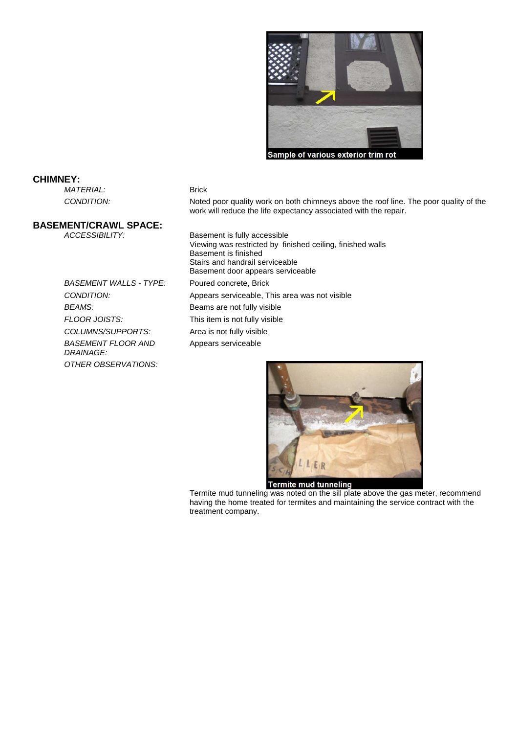

#### **CHIMNEY:**

MATERIAL: Brick

CONDITION: Noted poor quality work on both chimneys above the roof line. The poor quality of the work will reduce the life expectancy associated with the repair.

**BASEMENT/CRAWL SPACE:**

BASEMENT WALLS - TYPE: Poured concrete, Brick BEAMS: Beams are not fully visible FLOOR JOISTS: This item is not fully visible COLUMNS/SUPPORTS: Area is not fully visible BASEMENT FLOOR AND DRAINAGE: OTHER OBSERVATIONS:

Basement is fully accessible Viewing was restricted by finished ceiling, finished walls Basement is finished Stairs and handrail serviceable Basement door appears serviceable CONDITION: Appears serviceable, This area was not visible Appears serviceable



Termite mud tunneling<br>Termite mud tunneling was noted on the sill plate above the gas meter, recommend having the home treated for termites and maintaining the service contract with the treatment company.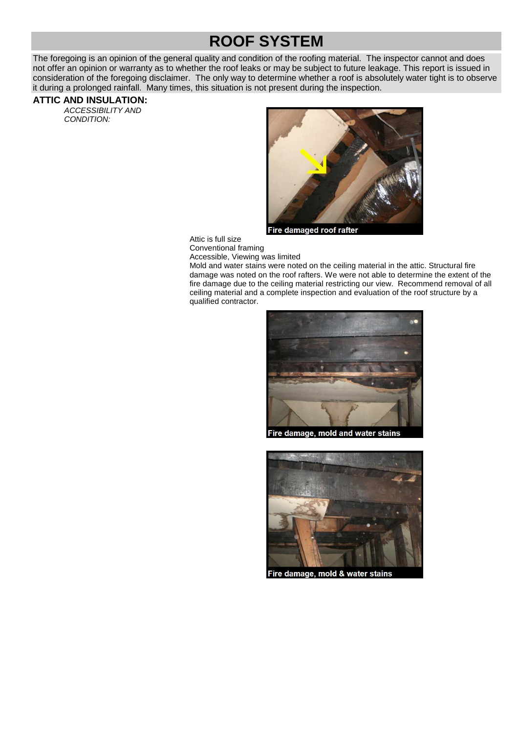### **ROOF SYSTEM**

The foregoing is an opinion of the general quality and condition of the roofing material. The inspector cannot and does not offer an opinion or warranty as to whether the roof leaks or may be subject to future leakage. This report is issued in consideration of the foregoing disclaimer. The only way to determine whether a roof is absolutely water tight is to observe it during a prolonged rainfall. Many times, this situation is not present during the inspection.

#### **ATTIC AND INSULATION:**

ACCESSIBILITY AND CONDITION:



Fire damaged roof rafte

Attic is full size Conventional framing

Accessible, Viewing was limited

Mold and water stains were noted on the ceiling material in the attic. Structural fire damage was noted on the roof rafters. We were not able to determine the extent of the fire damage due to the ceiling material restricting our view. Recommend removal of all ceiling material and a complete inspection and evaluation of the roof structure by a qualified contractor.



Fire damage, mold & water stains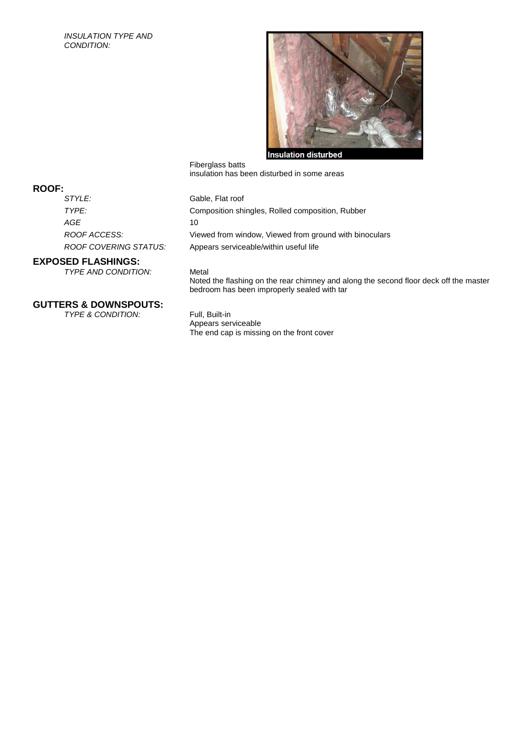#### INSULATION TYPE AND CONDITION:



Fiberglass batts insulation has been disturbed in some areas

#### Gable, Flat roof

TYPE: Composition shingles, Rolled composition, Rubber ROOF ACCESS: Viewed from window, Viewed from ground with binoculars ROOF COVERING STATUS: Appears serviceable/within useful life

#### **EXPOSED FLASHINGS:**

TYPE AND CONDITION: Metal

Noted the flashing on the rear chimney and along the second floor deck off the master bedroom has been improperly sealed with tar

### **GUTTERS & DOWNSPOUTS:**

TYPE & CONDITION: Full, Built-in

Appears serviceable The end cap is missing on the front cover

### **ROOF:**

 $AGE$  10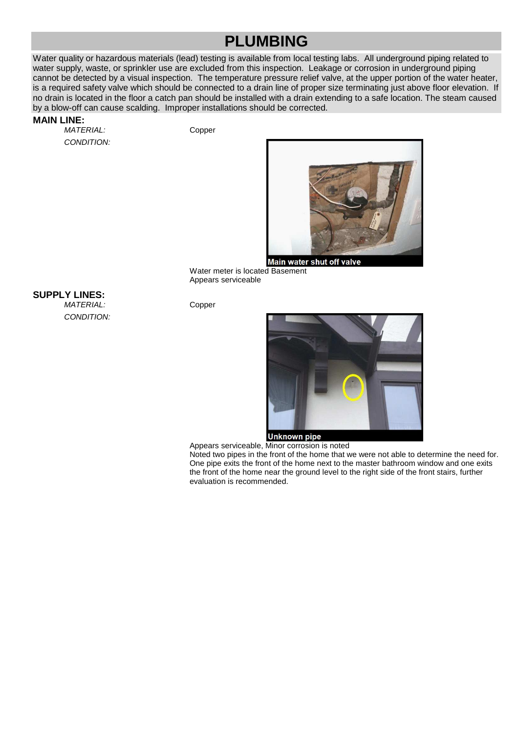### **PLUMBING**

Water quality or hazardous materials (lead) testing is available from local testing labs. All underground piping related to water supply, waste, or sprinkler use are excluded from this inspection. Leakage or corrosion in underground piping cannot be detected by a visual inspection. The temperature pressure relief valve, at the upper portion of the water heater, is a required safety valve which should be connected to a drain line of proper size terminating just above floor elevation. If no drain is located in the floor a catch pan should be installed with a drain extending to a safe location. The steam caused by a blow-off can cause scalding. Improper installations should be corrected.

#### **MAIN LINE:**

MATERIAL: Copper CONDITION:



Water meter is located Basement Appears serviceable

**SUPPLY LINES:**

MATERIAL: Copper CONDITION:



Appears serviceable, Minor corrosion is noted

Noted two pipes in the front of the home that we were not able to determine the need for. One pipe exits the front of the home next to the master bathroom window and one exits the front of the home near the ground level to the right side of the front stairs, further evaluation is recommended.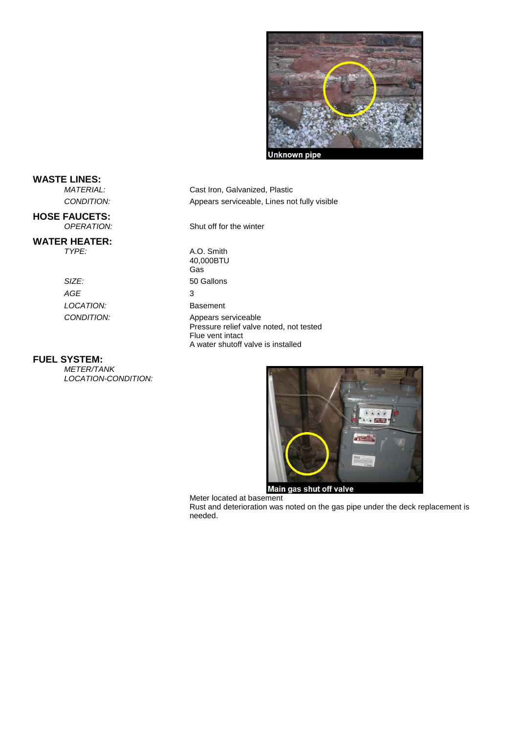

**WASTE LINES:**

**HOSE FAUCETS:**<br>OPERATION:

#### **WATER HEATER:**

SIZE: 50 Gallons  $AGE$  3 LOCATION: Basement

#### **FUEL SYSTEM:**

METER/TANK LOCATION-CONDITION:

CONDITION: Appears serviceable, Lines not fully visible Shut off for the winter TYPE: A.O. Smith 40,000BTU Gas CONDITION: Appears serviceable Pressure relief valve noted, not tested Flue vent intact A water shutoff valve is installed

Cast Iron, Galvanized, Plastic



Meter located at basement

Rust and deterioration was noted on the gas pipe under the deck replacement is needed.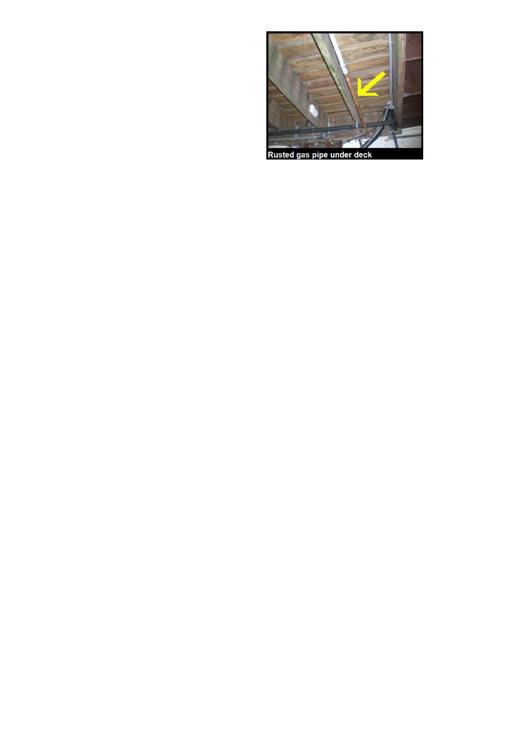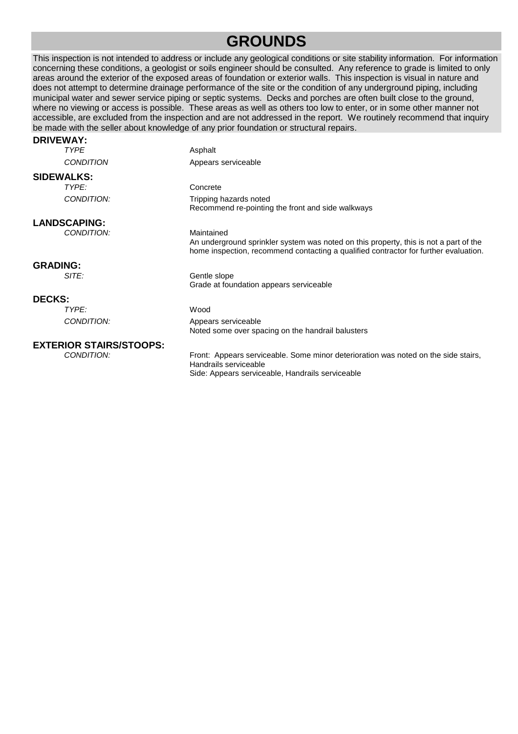### **GROUNDS**

This inspection is not intended to address or include any geological conditions or site stability information. For information concerning these conditions, a geologist or soils engineer should be consulted. Any reference to grade is limited to only areas around the exterior of the exposed areas of foundation or exterior walls. This inspection is visual in nature and does not attempt to determine drainage performance of the site or the condition of any underground piping, including municipal water and sewer service piping or septic systems. Decks and porches are often built close to the ground, where no viewing or access is possible. These areas as well as others too low to enter, or in some other manner not accessible, are excluded from the inspection and are not addressed in the report. We routinely recommend that inquiry be made with the seller about knowledge of any prior foundation or structural repairs. **DRIVEWAY:**

| URIVEWAI.                      |                                                                                                                                                                                             |
|--------------------------------|---------------------------------------------------------------------------------------------------------------------------------------------------------------------------------------------|
| <b>TYPE</b>                    | Asphalt                                                                                                                                                                                     |
| <b>CONDITION</b>               | Appears serviceable                                                                                                                                                                         |
| <b>SIDEWALKS:</b>              |                                                                                                                                                                                             |
| TYPE:                          | Concrete                                                                                                                                                                                    |
| CONDITION:                     | Tripping hazards noted<br>Recommend re-pointing the front and side walkways                                                                                                                 |
| <b>LANDSCAPING:</b>            |                                                                                                                                                                                             |
| CONDITION:                     | Maintained<br>An underground sprinkler system was noted on this property, this is not a part of the<br>home inspection, recommend contacting a qualified contractor for further evaluation. |
| <b>GRADING:</b>                |                                                                                                                                                                                             |
| SITE:                          | Gentle slope<br>Grade at foundation appears serviceable                                                                                                                                     |
| <b>DECKS:</b>                  |                                                                                                                                                                                             |
| TYPF:                          | Wood                                                                                                                                                                                        |
| CONDITION:                     | Appears serviceable<br>Noted some over spacing on the handrail balusters                                                                                                                    |
| <b>EXTERIOR STAIRS/STOOPS:</b> |                                                                                                                                                                                             |
| CONDITION:                     | Front: Appears serviceable. Some minor deterioration was noted on the side stairs,<br>Handrails serviceable<br>Side: Appears serviceable, Handrails serviceable                             |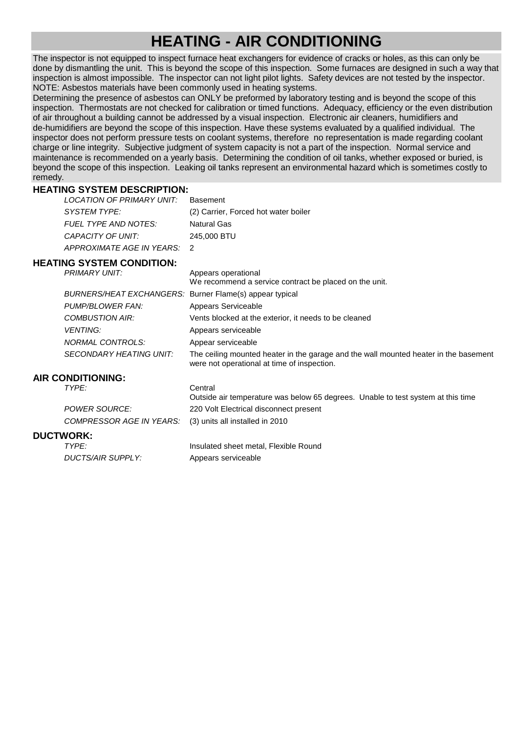### **HEATING - AIR CONDITIONING**

The inspector is not equipped to inspect furnace heat exchangers for evidence of cracks or holes, as this can only be done by dismantling the unit. This is beyond the scope of this inspection. Some furnaces are designed in such a way that inspection is almost impossible. The inspector can not light pilot lights. Safety devices are not tested by the inspector. NOTE: Asbestos materials have been commonly used in heating systems.

Determining the presence of asbestos can ONLY be preformed by laboratory testing and is beyond the scope of this inspection. Thermostats are not checked for calibration or timed functions. Adequacy, efficiency or the even distribution of air throughout a building cannot be addressed by a visual inspection. Electronic air cleaners, humidifiers and de-humidifiers are beyond the scope of this inspection. Have these systems evaluated by a qualified individual. The inspector does not perform pressure tests on coolant systems, therefore no representation is made regarding coolant charge or line integrity. Subjective judgment of system capacity is not a part of the inspection. Normal service and maintenance is recommended on a yearly basis. Determining the condition of oil tanks, whether exposed or buried, is beyond the scope of this inspection. Leaking oil tanks represent an environmental hazard which is sometimes costly to remedy.

#### **HEATING SYSTEM DESCRIPTION:**

| LOCATION OF PRIMARY UNIT:   | Basement                             |
|-----------------------------|--------------------------------------|
| SYSTEM TYPE:                | (2) Carrier, Forced hot water boiler |
| FUEL TYPE AND NOTES:        | <b>Natural Gas</b>                   |
| CAPACITY OF UNIT:           | 245,000 BTU                          |
| APPROXIMATE AGE IN YEARS: 2 |                                      |

#### **HEATING SYSTEM CONDITION:**

| PRIMARY UNIT:                                           | Appears operational<br>We recommend a service contract be placed on the unit.                                                       |
|---------------------------------------------------------|-------------------------------------------------------------------------------------------------------------------------------------|
| BURNERS/HEAT EXCHANGERS: Burner Flame(s) appear typical |                                                                                                                                     |
| PUMP/BLOWER FAN:                                        | Appears Serviceable                                                                                                                 |
| COMBUSTION AIR:                                         | Vents blocked at the exterior, it needs to be cleaned                                                                               |
| <b>VENTING:</b>                                         | Appears serviceable                                                                                                                 |
| NORMAL CONTROLS:                                        | Appear serviceable                                                                                                                  |
| SECONDARY HEATING UNIT:                                 | The ceiling mounted heater in the garage and the wall mounted heater in the basement<br>were not operational at time of inspection. |
| <b>AIR CONDITIONING:</b>                                |                                                                                                                                     |
| TYPE:                                                   | Central<br>Outside air temperature was below 65 degrees. Unable to test system at this time                                         |
| POWER SOURCE:                                           | 220 Volt Electrical disconnect present                                                                                              |
| <i>COMPRESSOR AGE IN YEARS:</i>                         | (3) units all installed in 2010                                                                                                     |
| <b>DUCTWORK:</b>                                        |                                                                                                                                     |

#### **DUCT**

| TYPE:             | Insulated sheet metal, Flexible Round |
|-------------------|---------------------------------------|
| DUCTS/AIR SUPPLY: | Appears serviceable                   |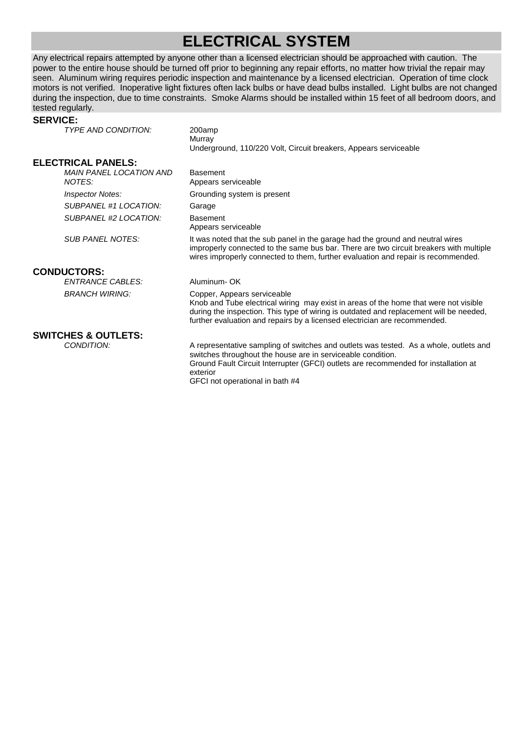### **ELECTRICAL SYSTEM**

Any electrical repairs attempted by anyone other than a licensed electrician should be approached with caution. The power to the entire house should be turned off prior to beginning any repair efforts, no matter how trivial the repair may seen. Aluminum wiring requires periodic inspection and maintenance by a licensed electrician. Operation of time clock motors is not verified. Inoperative light fixtures often lack bulbs or have dead bulbs installed. Light bulbs are not changed during the inspection, due to time constraints. Smoke Alarms should be installed within 15 feet of all bedroom doors, and tested regularly.

#### **SERVICE:**

TYPE AND CONDITION: 200amp **Murray** Underground, 110/220 Volt, Circuit breakers, Appears serviceable **ELECTRICAL PANELS:** MAIN PANEL LOCATION AND NOTES: Basement Appears serviceable Inspector Notes: Grounding system is present SUBPANEL #1 LOCATION: Garage SUBPANEL #2 LOCATION: Basement Appears serviceable SUB PANEL NOTES: It was noted that the sub panel in the garage had the ground and neutral wires improperly connected to the same bus bar. There are two circuit breakers with multiple wires improperly connected to them, further evaluation and repair is recommended. **CONDUCTORS:** ENTRANCE CABLES: Aluminum- OK BRANCH WIRING: Copper, Appears serviceable Knob and Tube electrical wiring may exist in areas of the home that were not visible during the inspection. This type of wiring is outdated and replacement will be needed, further evaluation and repairs by a licensed electrician are recommended. **SWITCHES & OUTLETS:** CONDITION: A representative sampling of switches and outlets was tested. As a whole, outlets and switches throughout the house are in serviceable condition. Ground Fault Circuit Interrupter (GFCI) outlets are recommended for installation at exterior GFCI not operational in bath #4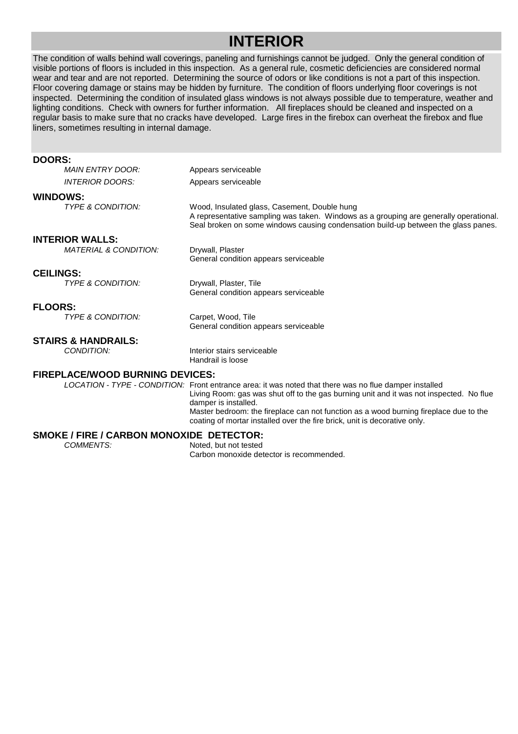### **INTERIOR**

The condition of walls behind wall coverings, paneling and furnishings cannot be judged. Only the general condition of visible portions of floors is included in this inspection. As a general rule, cosmetic deficiencies are considered normal wear and tear and are not reported. Determining the source of odors or like conditions is not a part of this inspection. Floor covering damage or stains may be hidden by furniture. The condition of floors underlying floor coverings is not inspected. Determining the condition of insulated glass windows is not always possible due to temperature, weather and lighting conditions. Check with owners for further information. All fireplaces should be cleaned and inspected on a regular basis to make sure that no cracks have developed. Large fires in the firebox can overheat the firebox and flue liners, sometimes resulting in internal damage.

#### **DOORS:**

|                        | <b>MAIN ENTRY DOOR:</b>                | Appears serviceable                                                                                                                                                                                                         |
|------------------------|----------------------------------------|-----------------------------------------------------------------------------------------------------------------------------------------------------------------------------------------------------------------------------|
|                        | <i><b>INTERIOR DOORS:</b></i>          | Appears serviceable                                                                                                                                                                                                         |
| <b>WINDOWS:</b>        |                                        |                                                                                                                                                                                                                             |
|                        | <b>TYPE &amp; CONDITION:</b>           | Wood, Insulated glass, Casement, Double hung<br>A representative sampling was taken. Windows as a grouping are generally operational.<br>Seal broken on some windows causing condensation build-up between the glass panes. |
| <b>INTERIOR WALLS:</b> |                                        |                                                                                                                                                                                                                             |
|                        | <b>MATERIAL &amp; CONDITION:</b>       | Drywall, Plaster<br>General condition appears serviceable                                                                                                                                                                   |
| <b>CEILINGS:</b>       |                                        |                                                                                                                                                                                                                             |
|                        | <b>TYPE &amp; CONDITION:</b>           | Drywall, Plaster, Tile<br>General condition appears serviceable                                                                                                                                                             |
| <b>FLOORS:</b>         |                                        |                                                                                                                                                                                                                             |
|                        | <b>TYPE &amp; CONDITION:</b>           | Carpet, Wood, Tile<br>General condition appears serviceable                                                                                                                                                                 |
|                        | <b>STAIRS &amp; HANDRAILS:</b>         |                                                                                                                                                                                                                             |
|                        | CONDITION:                             | Interior stairs serviceable<br>Handrail is loose                                                                                                                                                                            |
|                        | <b>FIREPLACE/WOOD BURNING DEVICES:</b> |                                                                                                                                                                                                                             |
|                        |                                        | LOCATION - TYPE - CONDITION: Front entrance area: it was noted that there was no flue damper installed<br>Living Room: gas was shut off to the gas burning unit and it was not inspected. No flue<br>damper is installed.   |

### **SMOKE / FIRE / CARBON MONOXIDE DETECTOR:**<br>COMMENTS: Noted. but not tested

Noted, but not tested Carbon monoxide detector is recommended.

Master bedroom: the fireplace can not function as a wood burning fireplace due to the

coating of mortar installed over the fire brick, unit is decorative only.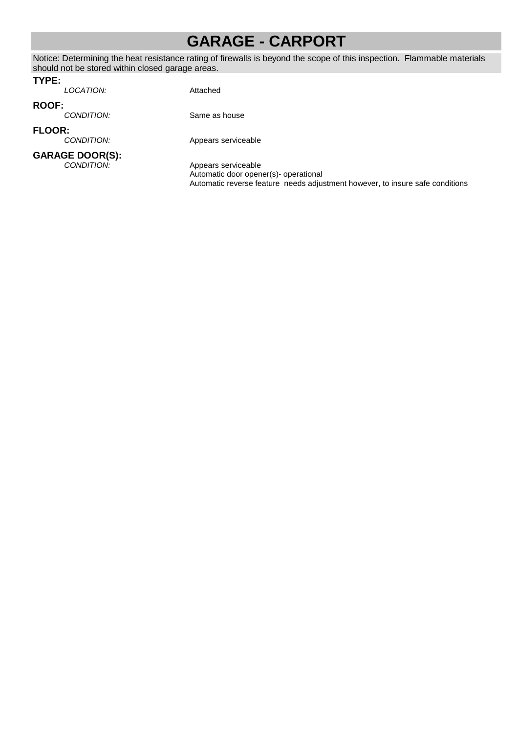### **GARAGE - CARPORT**

Notice: Determining the heat resistance rating of firewalls is beyond the scope of this inspection. Flammable materials should not be stored within closed garage areas.

#### **TYPE:**

LOCATION: Attached

**ROOF:**

**FLOOR:**

**GARAGE DOOR(S):**<br>CONDITION:

Appears serviceable

Same as house

Appears serviceable Automatic door opener(s)- operational Automatic reverse feature needs adjustment however, to insure safe conditions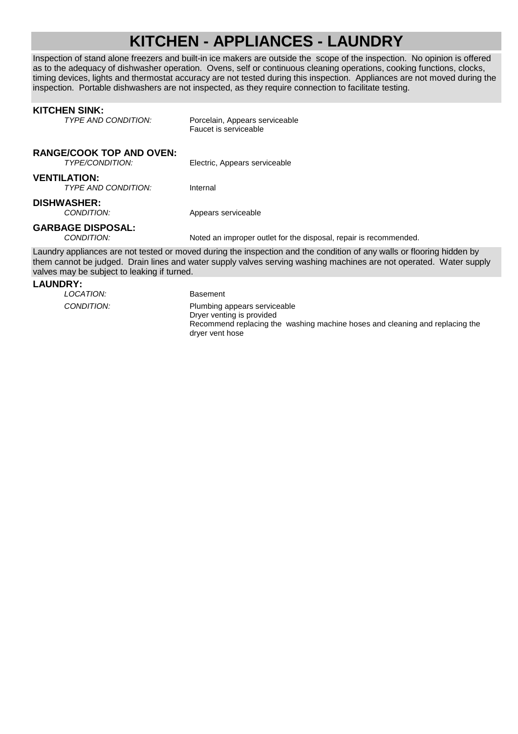### **KITCHEN - APPLIANCES - LAUNDRY**

Inspection of stand alone freezers and built-in ice makers are outside the scope of the inspection. No opinion is offered as to the adequacy of dishwasher operation. Ovens, self or continuous cleaning operations, cooking functions, clocks, timing devices, lights and thermostat accuracy are not tested during this inspection. Appliances are not moved during the inspection. Portable dishwashers are not inspected, as they require connection to facilitate testing.

#### **KITCHEN SINK:**<br>TYPE AND CONDITION: Porcelain, Appears serviceable Faucet is serviceable **RANGE/COOK TOP AND OVEN:** Electric, Appears serviceable **VENTILATION:** TYPE AND CONDITION: Internal **DISHWASHER:** CONDITION: Appears serviceable **GARBAGE DISPOSAL:**<br>CONDITION: Noted an improper outlet for the disposal, repair is recommended. Laundry appliances are not tested or moved during the inspection and the condition of any walls or flooring hidden by them cannot be judged. Drain lines and water supply valves serving washing machines are not operated. Water supply valves may be subject to leaking if turned.

#### **LAUNDRY:**

LOCATION: Basement CONDITION: Plumbing appears serviceable Dryer venting is provided Recommend replacing the washing machine hoses and cleaning and replacing the dryer vent hose